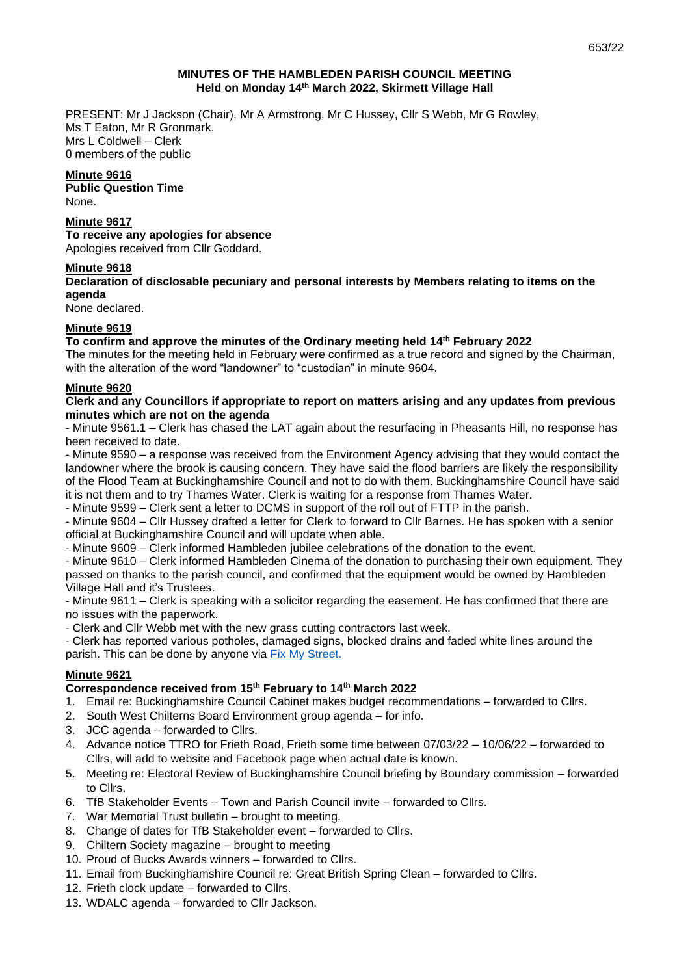# **MINUTES OF THE HAMBLEDEN PARISH COUNCIL MEETING Held on Monday 14 th March 2022, Skirmett Village Hall**

PRESENT: Mr J Jackson (Chair), Mr A Armstrong, Mr C Hussey, Cllr S Webb, Mr G Rowley, Ms T Eaton, Mr R Gronmark. Mrs L Coldwell – Clerk 0 members of the public

# **Minute 9616**

**Public Question Time**  None.

#### **Minute 9617 To receive any apologies for absence**

Apologies received from Cllr Goddard.

# **Minute 9618**

# **Declaration of disclosable pecuniary and personal interests by Members relating to items on the agenda**

None declared.

# **Minute 9619**

# **To confirm and approve the minutes of the Ordinary meeting held 14 th February 2022**

The minutes for the meeting held in February were confirmed as a true record and signed by the Chairman, with the alteration of the word "landowner" to "custodian" in minute 9604.

# **Minute 9620**

# **Clerk and any Councillors if appropriate to report on matters arising and any updates from previous minutes which are not on the agenda**

- Minute 9561.1 – Clerk has chased the LAT again about the resurfacing in Pheasants Hill, no response has been received to date.

- Minute 9590 – a response was received from the Environment Agency advising that they would contact the landowner where the brook is causing concern. They have said the flood barriers are likely the responsibility of the Flood Team at Buckinghamshire Council and not to do with them. Buckinghamshire Council have said it is not them and to try Thames Water. Clerk is waiting for a response from Thames Water.

- Minute 9599 – Clerk sent a letter to DCMS in support of the roll out of FTTP in the parish.

- Minute 9604 – Cllr Hussey drafted a letter for Clerk to forward to Cllr Barnes. He has spoken with a senior official at Buckinghamshire Council and will update when able.

- Minute 9609 – Clerk informed Hambleden jubilee celebrations of the donation to the event.

- Minute 9610 – Clerk informed Hambleden Cinema of the donation to purchasing their own equipment. They passed on thanks to the parish council, and confirmed that the equipment would be owned by Hambleden Village Hall and it's Trustees.

- Minute 9611 – Clerk is speaking with a solicitor regarding the easement. He has confirmed that there are no issues with the paperwork.

- Clerk and Cllr Webb met with the new grass cutting contractors last week.

- Clerk has reported various potholes, damaged signs, blocked drains and faded white lines around the parish. This can be done by anyone via [Fix My Street.](https://www.fixmystreet.com/)

# **Minute 9621**

# **Correspondence received from 15 th February to 14th March 2022**

- 1. Email re: Buckinghamshire Council Cabinet makes budget recommendations forwarded to Cllrs.
- 2. South West Chilterns Board Environment group agenda for info.
- 3. JCC agenda forwarded to Cllrs.
- 4. Advance notice TTRO for Frieth Road, Frieth some time between 07/03/22 10/06/22 forwarded to Cllrs, will add to website and Facebook page when actual date is known.
- 5. Meeting re: Electoral Review of Buckinghamshire Council briefing by Boundary commission forwarded to Cllrs.
- 6. TfB Stakeholder Events Town and Parish Council invite forwarded to Cllrs.
- 7. War Memorial Trust bulletin brought to meeting.
- 8. Change of dates for TfB Stakeholder event forwarded to Cllrs.
- 9. Chiltern Society magazine brought to meeting
- 10. Proud of Bucks Awards winners forwarded to Cllrs.
- 11. Email from Buckinghamshire Council re: Great British Spring Clean forwarded to Cllrs.
- 12. Frieth clock update forwarded to Cllrs.
- 13. WDALC agenda forwarded to Cllr Jackson.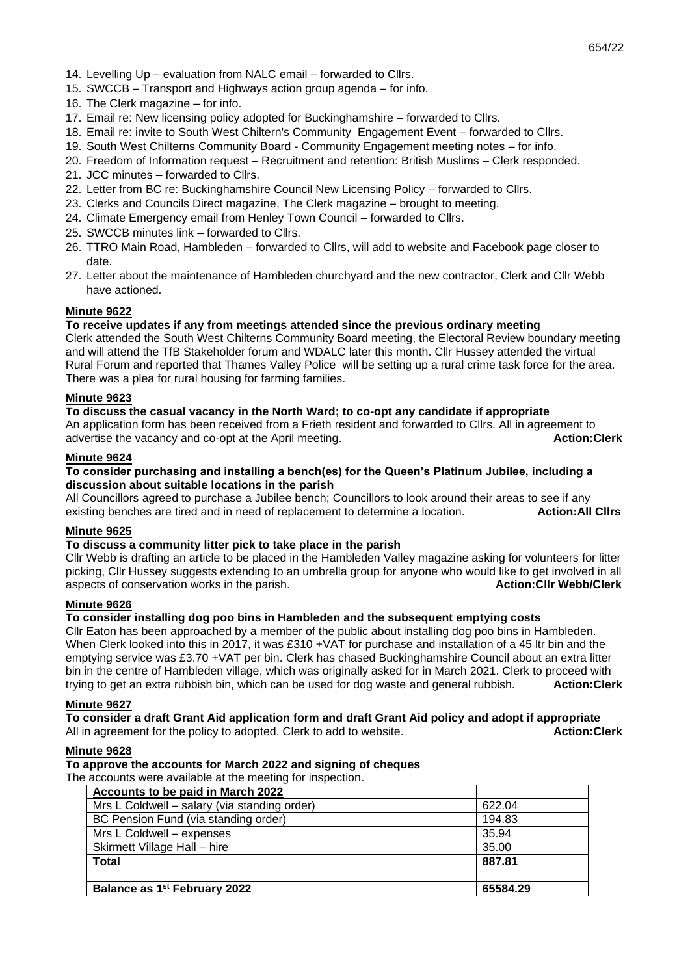- 14. Levelling Up evaluation from NALC email forwarded to Cllrs.
- 15. SWCCB Transport and Highways action group agenda for info.
- 16. The Clerk magazine for info.
- 17. Email re: New licensing policy adopted for Buckinghamshire forwarded to Cllrs.
- 18. Email re: invite to South West Chiltern's Community Engagement Event forwarded to Cllrs.
- 19. South West Chilterns Community Board Community Engagement meeting notes for info.
- 20. Freedom of Information request Recruitment and retention: British Muslims Clerk responded.
- 21. JCC minutes forwarded to Cllrs.
- 22. Letter from BC re: Buckinghamshire Council New Licensing Policy forwarded to Cllrs.
- 23. Clerks and Councils Direct magazine, The Clerk magazine brought to meeting.
- 24. Climate Emergency email from Henley Town Council forwarded to Cllrs.
- 25. SWCCB minutes link forwarded to Cllrs.
- 26. TTRO Main Road, Hambleden forwarded to Cllrs, will add to website and Facebook page closer to date.
- 27. Letter about the maintenance of Hambleden churchyard and the new contractor, Clerk and Cllr Webb have actioned.

### **Minute 9622**

# **To receive updates if any from meetings attended since the previous ordinary meeting**

Clerk attended the South West Chilterns Community Board meeting, the Electoral Review boundary meeting and will attend the TfB Stakeholder forum and WDALC later this month. Cllr Hussey attended the virtual Rural Forum and reported that Thames Valley Police will be setting up a rural crime task force for the area. There was a plea for rural housing for farming families.

## **Minute 9623**

**To discuss the casual vacancy in the North Ward; to co-opt any candidate if appropriate** An application form has been received from a Frieth resident and forwarded to Cllrs. All in agreement to advertise the vacancy and co-opt at the April meeting. **Action:Clerk Action:Clerk** 

#### **Minute 9624**

### **To consider purchasing and installing a bench(es) for the Queen's Platinum Jubilee, including a discussion about suitable locations in the parish**

All Councillors agreed to purchase a Jubilee bench; Councillors to look around their areas to see if any existing benches are tired and in need of replacement to determine a location. **Action:All Cllrs**

### **Minute 9625**

# **To discuss a community litter pick to take place in the parish**

Cllr Webb is drafting an article to be placed in the Hambleden Valley magazine asking for volunteers for litter picking, Cllr Hussey suggests extending to an umbrella group for anyone who would like to get involved in all aspects of conservation works in the parish. **Action:Cllr Webb/Clerk** aspects of conservation works in the parish.

# **Minute 9626**

# **To consider installing dog poo bins in Hambleden and the subsequent emptying costs**

Cllr Eaton has been approached by a member of the public about installing dog poo bins in Hambleden. When Clerk looked into this in 2017, it was £310 + VAT for purchase and installation of a 45 ltr bin and the emptying service was £3.70 +VAT per bin. Clerk has chased Buckinghamshire Council about an extra litter bin in the centre of Hambleden village, which was originally asked for in March 2021. Clerk to proceed with trying to get an extra rubbish bin, which can be used for dog waste and general rubbish. **Action:Clerk**

#### **Minute 9627**

#### **To consider a draft Grant Aid application form and draft Grant Aid policy and adopt if appropriate** All in agreement for the policy to adopted. Clerk to add to website. **Action:Clerk**

#### **Minute 9628**

## **To approve the accounts for March 2022 and signing of cheques**

The accounts were available at the meeting for inspection.

| Accounts to be paid in March 2022            |          |
|----------------------------------------------|----------|
| Mrs L Coldwell – salary (via standing order) | 622.04   |
| BC Pension Fund (via standing order)         | 194.83   |
| Mrs L Coldwell - expenses                    | 35.94    |
| Skirmett Village Hall - hire                 | 35.00    |
| <b>Total</b>                                 | 887.81   |
|                                              |          |
| Balance as 1 <sup>st</sup> February 2022     | 65584.29 |